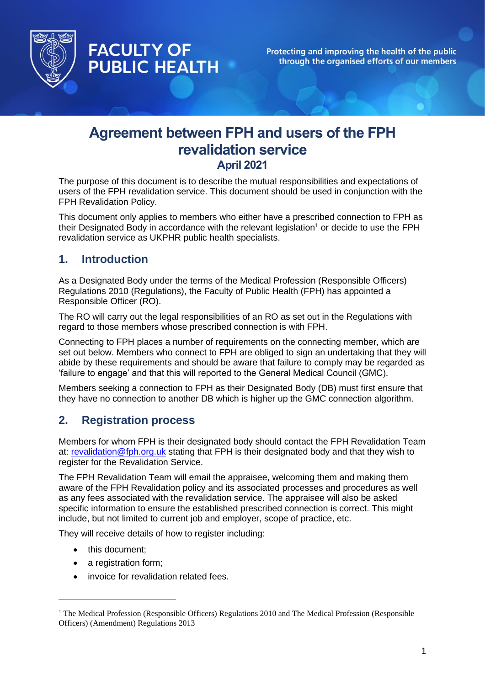

Protecting and improving the health of the public through the organised efforts of our members

# **Agreement between FPH and users of the FPH revalidation service April 2021**

The purpose of this document is to describe the mutual responsibilities and expectations of users of the FPH revalidation service. This document should be used in conjunction with the FPH Revalidation Policy.

This document only applies to members who either have a prescribed connection to FPH as their Designated Body in accordance with the relevant legislation<sup>1</sup> or decide to use the FPH revalidation service as UKPHR public health specialists.

#### **1. Introduction**

**FACULTY OF** 

**PUBLIC HEALTH** 

As a Designated Body under the terms of the Medical Profession (Responsible Officers) Regulations 2010 (Regulations), the Faculty of Public Health (FPH) has appointed a Responsible Officer (RO).

The RO will carry out the legal responsibilities of an RO as set out in the Regulations with regard to those members whose prescribed connection is with FPH.

Connecting to FPH places a number of requirements on the connecting member, which are set out below. Members who connect to FPH are obliged to sign an undertaking that they will abide by these requirements and should be aware that failure to comply may be regarded as 'failure to engage' and that this will reported to the General Medical Council (GMC).

Members seeking a connection to FPH as their Designated Body (DB) must first ensure that they have no connection to another DB which is higher up the GMC connection algorithm.

# **2. Registration process**

Members for whom FPH is their designated body should contact the FPH Revalidation Team at: [revalidation@fph.org.uk](mailto:revalidation@fph.org.uk) stating that FPH is their designated body and that they wish to register for the Revalidation Service.

The FPH Revalidation Team will email the appraisee, welcoming them and making them aware of the FPH Revalidation policy and its associated processes and procedures as well as any fees associated with the revalidation service. The appraisee will also be asked specific information to ensure the established prescribed connection is correct. This might include, but not limited to current job and employer, scope of practice, etc.

They will receive details of how to register including:

- this document:
- a registration form;
- invoice for revalidation related fees.

<sup>&</sup>lt;sup>1</sup> The Medical Profession (Responsible Officers) Regulations 2010 and The Medical Profession (Responsible Officers) (Amendment) Regulations 2013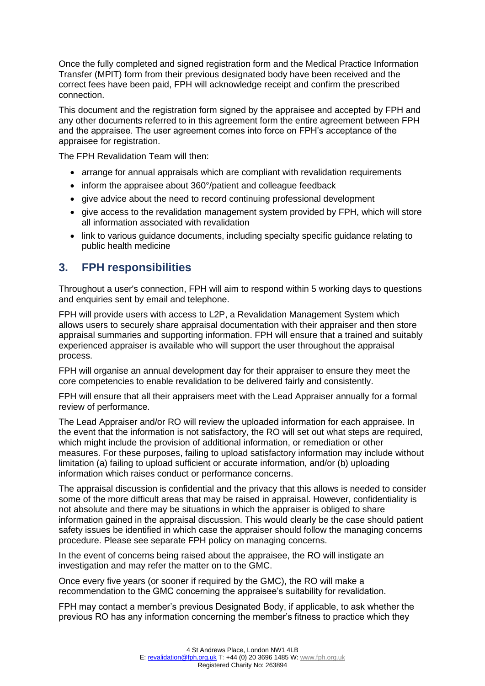Once the fully completed and signed registration form and the Medical Practice Information Transfer (MPIT) form from their previous designated body have been received and the correct fees have been paid, FPH will acknowledge receipt and confirm the prescribed connection.

This document and the registration form signed by the appraisee and accepted by FPH and any other documents referred to in this agreement form the entire agreement between FPH and the appraisee. The user agreement comes into force on FPH's acceptance of the appraisee for registration.

The FPH Revalidation Team will then:

- arrange for annual appraisals which are compliant with revalidation requirements
- inform the appraisee about 360°/patient and colleague feedback
- give advice about the need to record continuing professional development
- give access to the revalidation management system provided by FPH, which will store all information associated with revalidation
- link to various guidance documents, including specialty specific guidance relating to public health medicine

## **3. FPH responsibilities**

Throughout a user's connection, FPH will aim to respond within 5 working days to questions and enquiries sent by email and telephone.

FPH will provide users with access to L2P, a Revalidation Management System which allows users to securely share appraisal documentation with their appraiser and then store appraisal summaries and supporting information. FPH will ensure that a trained and suitably experienced appraiser is available who will support the user throughout the appraisal process.

FPH will organise an annual development day for their appraiser to ensure they meet the core competencies to enable revalidation to be delivered fairly and consistently.

FPH will ensure that all their appraisers meet with the Lead Appraiser annually for a formal review of performance.

The Lead Appraiser and/or RO will review the uploaded information for each appraisee. In the event that the information is not satisfactory, the RO will set out what steps are required, which might include the provision of additional information, or remediation or other measures. For these purposes, failing to upload satisfactory information may include without limitation (a) failing to upload sufficient or accurate information, and/or (b) uploading information which raises conduct or performance concerns.

The appraisal discussion is confidential and the privacy that this allows is needed to consider some of the more difficult areas that may be raised in appraisal. However, confidentiality is not absolute and there may be situations in which the appraiser is obliged to share information gained in the appraisal discussion. This would clearly be the case should patient safety issues be identified in which case the appraiser should follow the managing concerns procedure. Please see separate FPH policy on managing concerns.

In the event of concerns being raised about the appraisee, the RO will instigate an investigation and may refer the matter on to the GMC.

Once every five years (or sooner if required by the GMC), the RO will make a recommendation to the GMC concerning the appraisee's suitability for revalidation.

FPH may contact a member's previous Designated Body, if applicable, to ask whether the previous RO has any information concerning the member's fitness to practice which they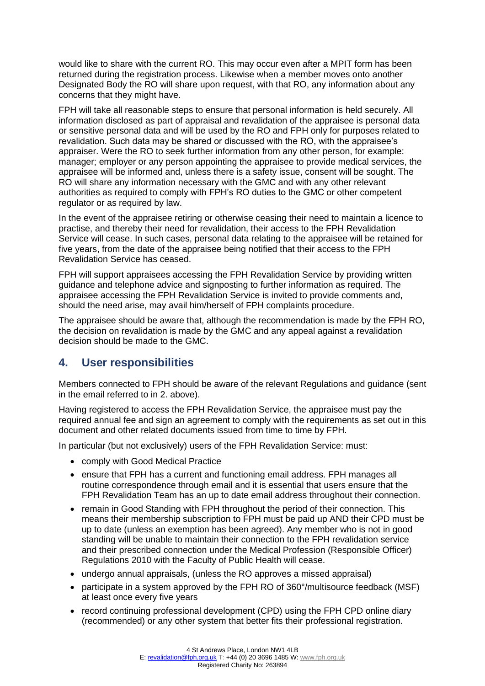would like to share with the current RO. This may occur even after a MPIT form has been returned during the registration process. Likewise when a member moves onto another Designated Body the RO will share upon request, with that RO, any information about any concerns that they might have.

FPH will take all reasonable steps to ensure that personal information is held securely. All information disclosed as part of appraisal and revalidation of the appraisee is personal data or sensitive personal data and will be used by the RO and FPH only for purposes related to revalidation. Such data may be shared or discussed with the RO, with the appraisee's appraiser. Were the RO to seek further information from any other person, for example: manager; employer or any person appointing the appraisee to provide medical services, the appraisee will be informed and, unless there is a safety issue, consent will be sought. The RO will share any information necessary with the GMC and with any other relevant authorities as required to comply with FPH's RO duties to the GMC or other competent regulator or as required by law.

In the event of the appraisee retiring or otherwise ceasing their need to maintain a licence to practise, and thereby their need for revalidation, their access to the FPH Revalidation Service will cease. In such cases, personal data relating to the appraisee will be retained for five years, from the date of the appraisee being notified that their access to the FPH Revalidation Service has ceased.

FPH will support appraisees accessing the FPH Revalidation Service by providing written guidance and telephone advice and signposting to further information as required. The appraisee accessing the FPH Revalidation Service is invited to provide comments and, should the need arise, may avail him/herself of FPH complaints procedure.

The appraisee should be aware that, although the recommendation is made by the FPH RO, the decision on revalidation is made by the GMC and any appeal against a revalidation decision should be made to the GMC.

# **4. User responsibilities**

Members connected to FPH should be aware of the relevant Regulations and guidance (sent in the email referred to in 2. above).

Having registered to access the FPH Revalidation Service, the appraisee must pay the required annual fee and sign an agreement to comply with the requirements as set out in this document and other related documents issued from time to time by FPH.

In particular (but not exclusively) users of the FPH Revalidation Service: must:

- comply with Good Medical Practice
- ensure that FPH has a current and functioning email address. FPH manages all routine correspondence through email and it is essential that users ensure that the FPH Revalidation Team has an up to date email address throughout their connection.
- remain in Good Standing with FPH throughout the period of their connection. This means their membership subscription to FPH must be paid up AND their CPD must be up to date (unless an exemption has been agreed). Any member who is not in good standing will be unable to maintain their connection to the FPH revalidation service and their prescribed connection under the Medical Profession (Responsible Officer) Regulations 2010 with the Faculty of Public Health will cease.
- undergo annual appraisals, (unless the RO approves a missed appraisal)
- participate in a system approved by the FPH RO of 360°/multisource feedback (MSF) at least once every five years
- record continuing professional development (CPD) using the FPH CPD online diary (recommended) or any other system that better fits their professional registration.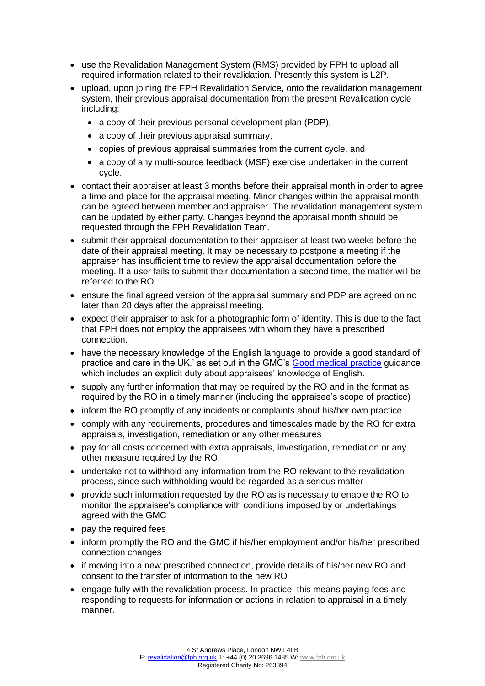- use the Revalidation Management System (RMS) provided by FPH to upload all required information related to their revalidation. Presently this system is L2P.
- upload, upon joining the FPH Revalidation Service, onto the revalidation management system, their previous appraisal documentation from the present Revalidation cycle including:
	- a copy of their previous personal development plan (PDP),
	- a copy of their previous appraisal summary,
	- copies of previous appraisal summaries from the current cycle, and
	- a copy of any multi-source feedback (MSF) exercise undertaken in the current cycle.
- contact their appraiser at least 3 months before their appraisal month in order to agree a time and place for the appraisal meeting. Minor changes within the appraisal month can be agreed between member and appraiser. The revalidation management system can be updated by either party. Changes beyond the appraisal month should be requested through the FPH Revalidation Team.
- submit their appraisal documentation to their appraiser at least two weeks before the date of their appraisal meeting. It may be necessary to postpone a meeting if the appraiser has insufficient time to review the appraisal documentation before the meeting. If a user fails to submit their documentation a second time, the matter will be referred to the RO.
- ensure the final agreed version of the appraisal summary and PDP are agreed on no later than 28 days after the appraisal meeting.
- expect their appraiser to ask for a photographic form of identity. This is due to the fact that FPH does not employ the appraisees with whom they have a prescribed connection.
- have the necessary knowledge of the English language to provide a good standard of practice and care in the UK.' as set out in the GMC's [Good medical practice](https://www.gmc-uk.org/ethical-guidance/ethical-guidance-for-doctors/good-medical-practice) guidance which includes an explicit duty about appraisees' knowledge of English.
- supply any further information that may be required by the RO and in the format as required by the RO in a timely manner (including the appraisee's scope of practice)
- inform the RO promptly of any incidents or complaints about his/her own practice
- comply with any requirements, procedures and timescales made by the RO for extra appraisals, investigation, remediation or any other measures
- pay for all costs concerned with extra appraisals, investigation, remediation or any other measure required by the RO.
- undertake not to withhold any information from the RO relevant to the revalidation process, since such withholding would be regarded as a serious matter
- provide such information requested by the RO as is necessary to enable the RO to monitor the appraisee's compliance with conditions imposed by or undertakings agreed with the GMC
- pay the required fees
- inform promptly the RO and the GMC if his/her employment and/or his/her prescribed connection changes
- if moving into a new prescribed connection, provide details of his/her new RO and consent to the transfer of information to the new RO
- engage fully with the revalidation process. In practice, this means paying fees and responding to requests for information or actions in relation to appraisal in a timely manner.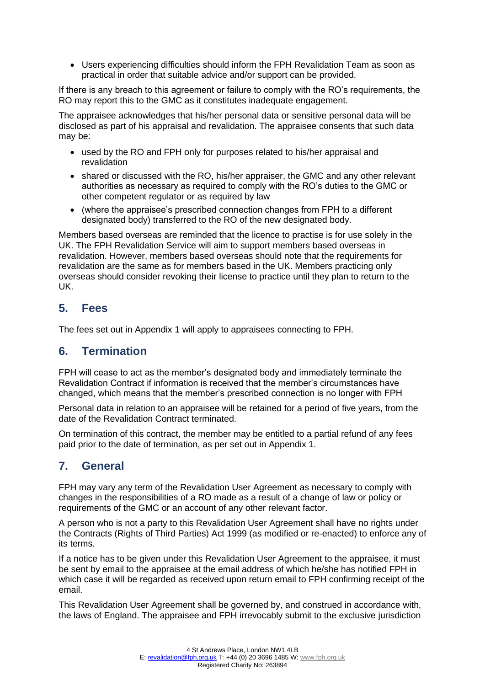• Users experiencing difficulties should inform the FPH Revalidation Team as soon as practical in order that suitable advice and/or support can be provided.

If there is any breach to this agreement or failure to comply with the RO's requirements, the RO may report this to the GMC as it constitutes inadequate engagement.

The appraisee acknowledges that his/her personal data or sensitive personal data will be disclosed as part of his appraisal and revalidation. The appraisee consents that such data may be:

- used by the RO and FPH only for purposes related to his/her appraisal and revalidation
- shared or discussed with the RO, his/her appraiser, the GMC and any other relevant authorities as necessary as required to comply with the RO's duties to the GMC or other competent regulator or as required by law
- (where the appraisee's prescribed connection changes from FPH to a different designated body) transferred to the RO of the new designated body.

Members based overseas are reminded that the licence to practise is for use solely in the UK. The FPH Revalidation Service will aim to support members based overseas in revalidation. However, members based overseas should note that the requirements for revalidation are the same as for members based in the UK. Members practicing only overseas should consider revoking their license to practice until they plan to return to the UK.

## **5. Fees**

The fees set out in Appendix 1 will apply to appraisees connecting to FPH.

## **6. Termination**

FPH will cease to act as the member's designated body and immediately terminate the Revalidation Contract if information is received that the member's circumstances have changed, which means that the member's prescribed connection is no longer with FPH

Personal data in relation to an appraisee will be retained for a period of five years, from the date of the Revalidation Contract terminated.

On termination of this contract, the member may be entitled to a partial refund of any fees paid prior to the date of termination, as per set out in Appendix 1.

## **7. General**

FPH may vary any term of the Revalidation User Agreement as necessary to comply with changes in the responsibilities of a RO made as a result of a change of law or policy or requirements of the GMC or an account of any other relevant factor.

A person who is not a party to this Revalidation User Agreement shall have no rights under the Contracts (Rights of Third Parties) Act 1999 (as modified or re-enacted) to enforce any of its terms.

If a notice has to be given under this Revalidation User Agreement to the appraisee, it must be sent by email to the appraisee at the email address of which he/she has notified FPH in which case it will be regarded as received upon return email to FPH confirming receipt of the email.

This Revalidation User Agreement shall be governed by, and construed in accordance with, the laws of England. The appraisee and FPH irrevocably submit to the exclusive jurisdiction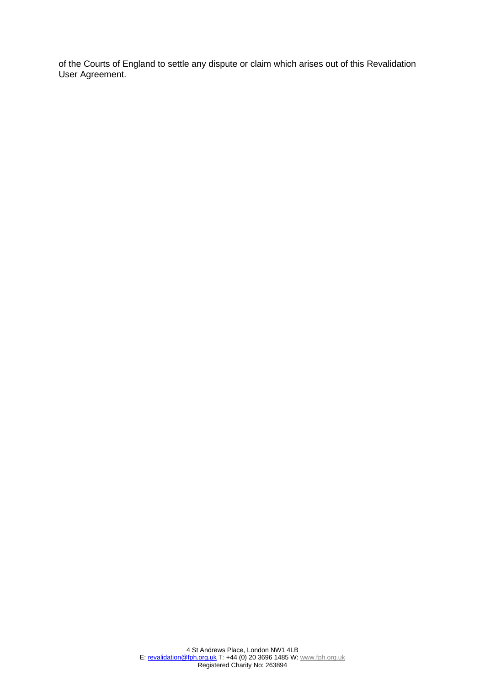of the Courts of England to settle any dispute or claim which arises out of this Revalidation User Agreement.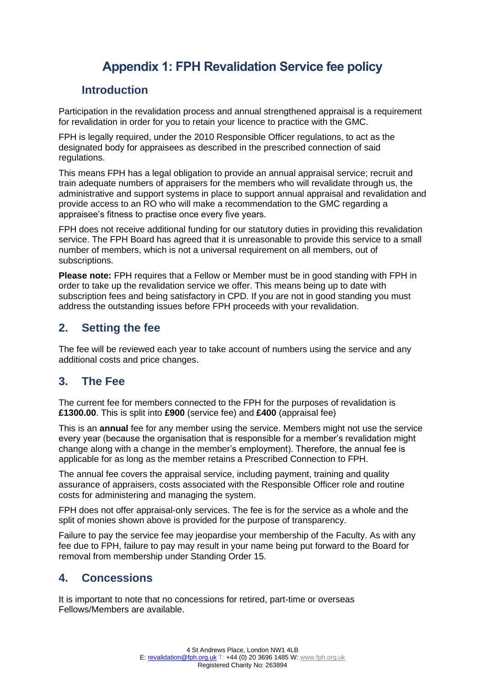# **Appendix 1: FPH Revalidation Service fee policy**

## **Introduction**

Participation in the revalidation process and annual strengthened appraisal is a requirement for revalidation in order for you to retain your licence to practice with the GMC.

FPH is legally required, under the 2010 Responsible Officer regulations, to act as the designated body for appraisees as described in the prescribed connection of said regulations.

This means FPH has a legal obligation to provide an annual appraisal service; recruit and train adequate numbers of appraisers for the members who will revalidate through us, the administrative and support systems in place to support annual appraisal and revalidation and provide access to an RO who will make a recommendation to the GMC regarding a appraisee's fitness to practise once every five years.

FPH does not receive additional funding for our statutory duties in providing this revalidation service. The FPH Board has agreed that it is unreasonable to provide this service to a small number of members, which is not a universal requirement on all members, out of subscriptions.

**Please note:** FPH requires that a Fellow or Member must be in good standing with FPH in order to take up the revalidation service we offer. This means being up to date with subscription fees and being satisfactory in CPD. If you are not in good standing you must address the outstanding issues before FPH proceeds with your revalidation.

## **2. Setting the fee**

The fee will be reviewed each year to take account of numbers using the service and any additional costs and price changes.

# **3. The Fee**

The current fee for members connected to the FPH for the purposes of revalidation is **£1300.00**. This is split into **£900** (service fee) and **£400** (appraisal fee)

This is an **annual** fee for any member using the service. Members might not use the service every year (because the organisation that is responsible for a member's revalidation might change along with a change in the member's employment). Therefore, the annual fee is applicable for as long as the member retains a Prescribed Connection to FPH.

The annual fee covers the appraisal service, including payment, training and quality assurance of appraisers, costs associated with the Responsible Officer role and routine costs for administering and managing the system.

FPH does not offer appraisal-only services. The fee is for the service as a whole and the split of monies shown above is provided for the purpose of transparency.

Failure to pay the service fee may jeopardise your membership of the Faculty. As with any fee due to FPH, failure to pay may result in your name being put forward to the Board for removal from membership under Standing Order 15.

## **4. Concessions**

It is important to note that no concessions for retired, part-time or overseas Fellows/Members are available.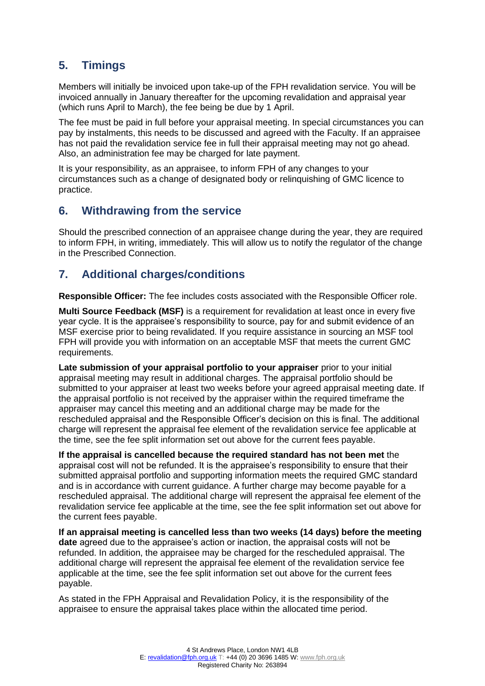# **5. Timings**

Members will initially be invoiced upon take-up of the FPH revalidation service. You will be invoiced annually in January thereafter for the upcoming revalidation and appraisal year (which runs April to March), the fee being be due by 1 April.

The fee must be paid in full before your appraisal meeting. In special circumstances you can pay by instalments, this needs to be discussed and agreed with the Faculty. If an appraisee has not paid the revalidation service fee in full their appraisal meeting may not go ahead. Also, an administration fee may be charged for late payment.

It is your responsibility, as an appraisee, to inform FPH of any changes to your circumstances such as a change of designated body or relinquishing of GMC licence to practice.

## **6. Withdrawing from the service**

Should the prescribed connection of an appraisee change during the year, they are required to inform FPH, in writing, immediately. This will allow us to notify the regulator of the change in the Prescribed Connection.

# **7. Additional charges/conditions**

**Responsible Officer:** The fee includes costs associated with the Responsible Officer role.

**Multi Source Feedback (MSF)** is a requirement for revalidation at least once in every five year cycle. It is the appraisee's responsibility to source, pay for and submit evidence of an MSF exercise prior to being revalidated. If you require assistance in sourcing an MSF tool FPH will provide you with information on an acceptable MSF that meets the current GMC requirements.

**Late submission of your appraisal portfolio to your appraiser** prior to your initial appraisal meeting may result in additional charges. The appraisal portfolio should be submitted to your appraiser at least two weeks before your agreed appraisal meeting date. If the appraisal portfolio is not received by the appraiser within the required timeframe the appraiser may cancel this meeting and an additional charge may be made for the rescheduled appraisal and the Responsible Officer's decision on this is final. The additional charge will represent the appraisal fee element of the revalidation service fee applicable at the time, see the fee split information set out above for the current fees payable.

**If the appraisal is cancelled because the required standard has not been met** the appraisal cost will not be refunded. It is the appraisee's responsibility to ensure that their submitted appraisal portfolio and supporting information meets the required GMC standard and is in accordance with current guidance. A further charge may become payable for a rescheduled appraisal. The additional charge will represent the appraisal fee element of the revalidation service fee applicable at the time, see the fee split information set out above for the current fees payable.

**If an appraisal meeting is cancelled less than two weeks (14 days) before the meeting date** agreed due to the appraisee's action or inaction, the appraisal costs will not be refunded. In addition, the appraisee may be charged for the rescheduled appraisal. The additional charge will represent the appraisal fee element of the revalidation service fee applicable at the time, see the fee split information set out above for the current fees payable.

As stated in the FPH Appraisal and Revalidation Policy, it is the responsibility of the appraisee to ensure the appraisal takes place within the allocated time period.